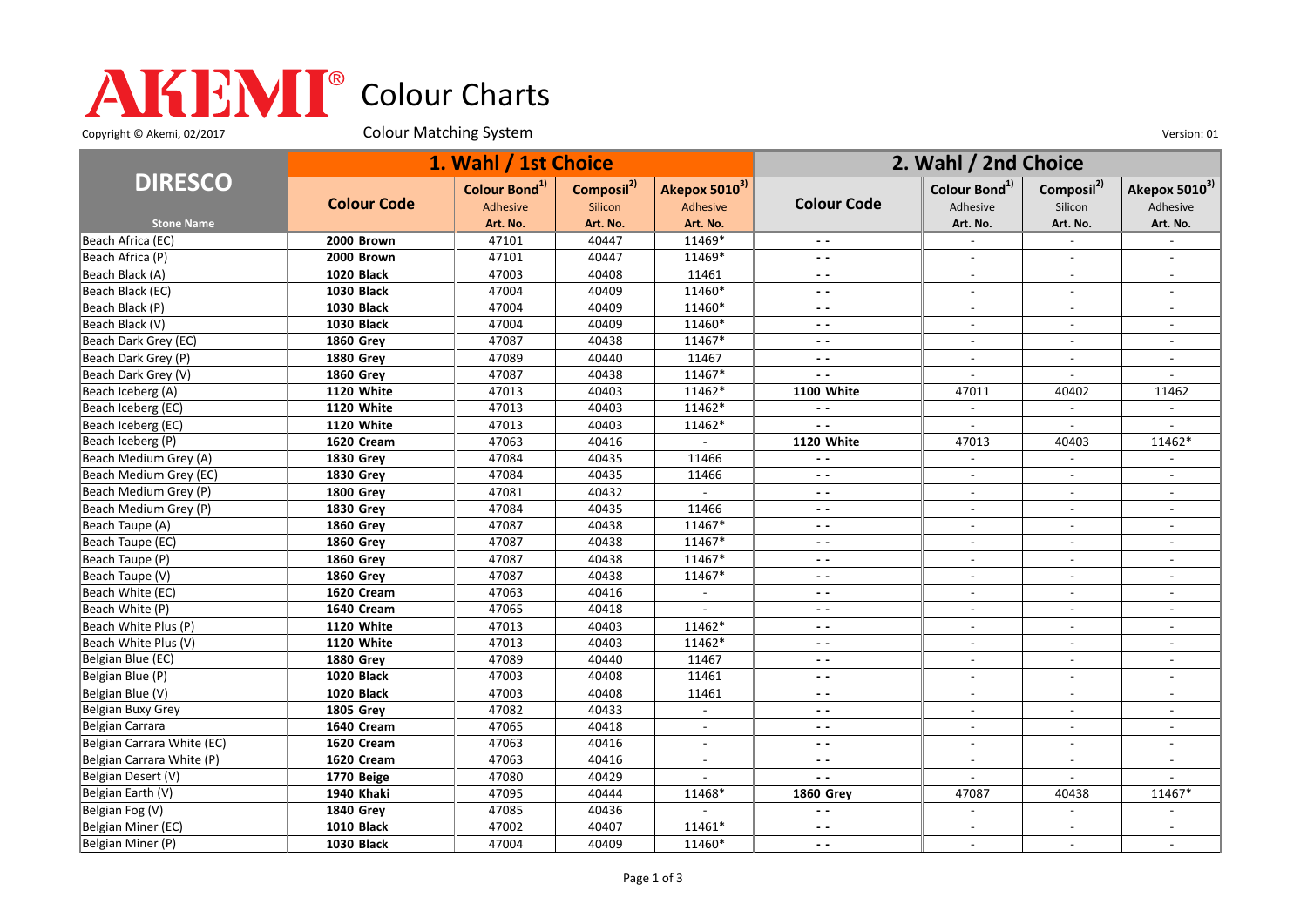## Colour Charts

Copyright © Akemi, 02/2017 Colour Matching System Colour Matching Constant Constant Out of the Version: 01

|                            | 1. Wahl / 1st Choice |                           |                        |                           | 2. Wahl / 2nd Choice     |                           |                          |                           |
|----------------------------|----------------------|---------------------------|------------------------|---------------------------|--------------------------|---------------------------|--------------------------|---------------------------|
| <b>DIRESCO</b>             | <b>Colour Code</b>   | Colour Bond <sup>1)</sup> | Composil <sup>2)</sup> | Akepox 5010 <sup>3)</sup> | <b>Colour Code</b>       | Colour Bond <sup>1)</sup> | Composil <sup>2)</sup>   | Akepox 5010 <sup>3)</sup> |
|                            |                      | <b>Adhesive</b>           | Silicon                | Adhesive                  |                          | Adhesive                  | Silicon                  | Adhesive                  |
| <b>Stone Name</b>          |                      | Art. No.                  | Art. No.               | Art. No.                  |                          | Art. No.                  | Art. No.                 | Art. No.                  |
| Beach Africa (EC)          | 2000 Brown           | 47101                     | 40447                  | 11469*                    |                          |                           |                          |                           |
| Beach Africa (P)           | 2000 Brown           | 47101                     | 40447                  | 11469*                    | $ -$                     | $\sim$                    | $\sim$                   |                           |
| Beach Black (A)            | <b>1020 Black</b>    | 47003                     | 40408                  | 11461                     | $\overline{\phantom{a}}$ | $\blacksquare$            |                          |                           |
| Beach Black (EC)           | <b>1030 Black</b>    | 47004                     | 40409                  | 11460*                    | $\overline{\phantom{a}}$ | $\blacksquare$            | $\blacksquare$           |                           |
| Beach Black (P)            | <b>1030 Black</b>    | 47004                     | 40409                  | 11460*                    | $ -$                     | $\blacksquare$            |                          |                           |
| Beach Black (V)            | 1030 Black           | 47004                     | 40409                  | 11460*                    | $\sim$ $\sim$            | $\overline{a}$            |                          |                           |
| Beach Dark Grey (EC)       | <b>1860 Grey</b>     | 47087                     | 40438                  | 11467*                    | $ -$                     | $\sim$                    | $\blacksquare$           | $\overline{\phantom{a}}$  |
| Beach Dark Grey (P)        | <b>1880 Grev</b>     | 47089                     | 40440                  | 11467                     | $\overline{\phantom{a}}$ | $\overline{\phantom{a}}$  | $\overline{\phantom{a}}$ |                           |
| Beach Dark Grey (V)        | <b>1860 Grey</b>     | 47087                     | 40438                  | 11467*                    | $\overline{\phantom{a}}$ | $\sim$                    | $\sim$                   |                           |
| Beach Iceberg (A)          | 1120 White           | 47013                     | 40403                  | 11462*                    | 1100 White               | 47011                     | 40402                    | 11462                     |
| Beach Iceberg (EC)         | 1120 White           | 47013                     | 40403                  | 11462*                    | $\sim$ $\sim$            | $\overline{\phantom{a}}$  | $\blacksquare$           |                           |
| Beach Iceberg (EC)         | 1120 White           | 47013                     | 40403                  | 11462*                    | . .                      | $\overline{\phantom{a}}$  | $\blacksquare$           |                           |
| Beach Iceberg (P)          | 1620 Cream           | 47063                     | 40416                  |                           | 1120 White               | 47013                     | 40403                    | 11462*                    |
| Beach Medium Grey (A)      | 1830 Grey            | 47084                     | 40435                  | 11466                     | $\overline{\phantom{a}}$ | $\overline{\phantom{a}}$  | $\overline{\phantom{a}}$ |                           |
| Beach Medium Grey (EC)     | <b>1830 Grey</b>     | 47084                     | 40435                  | 11466                     | $ -$                     |                           |                          |                           |
| Beach Medium Grey (P)      | <b>1800 Grey</b>     | 47081                     | 40432                  | $\overline{a}$            | $ -$                     | $\blacksquare$            | $\sim$                   |                           |
| Beach Medium Grey (P)      | <b>1830 Grey</b>     | 47084                     | 40435                  | 11466                     | $ -$                     | $\overline{\phantom{a}}$  | $\overline{\phantom{a}}$ |                           |
| Beach Taupe (A)            | <b>1860 Grey</b>     | 47087                     | 40438                  | 11467*                    | $\overline{a}$           | $\sim$                    | $\sim$                   | $\overline{a}$            |
| Beach Taupe (EC)           | <b>1860 Grey</b>     | 47087                     | 40438                  | 11467*                    | $ -$                     | $\overline{\phantom{a}}$  |                          |                           |
| Beach Taupe (P)            | <b>1860 Grey</b>     | 47087                     | 40438                  | 11467*                    | $ -$                     |                           |                          |                           |
| Beach Taupe (V)            | <b>1860 Grey</b>     | 47087                     | 40438                  | 11467*                    | $ -$                     | $\overline{\phantom{a}}$  | $\overline{\phantom{a}}$ | $\overline{\phantom{a}}$  |
| Beach White (EC)           | 1620 Cream           | 47063                     | 40416                  | $\overline{\phantom{a}}$  | $ -$                     | $\overline{\phantom{a}}$  |                          |                           |
| Beach White (P)            | 1640 Cream           | 47065                     | 40418                  | $\sim$                    | $\overline{\phantom{a}}$ | $\blacksquare$            | $\sim$                   | $\overline{\phantom{a}}$  |
| Beach White Plus (P)       | 1120 White           | 47013                     | 40403                  | 11462*                    | $ -$                     |                           |                          |                           |
| Beach White Plus (V)       | 1120 White           | 47013                     | 40403                  | 11462*                    | $\sim$ $\sim$            | $\blacksquare$            | $\overline{a}$           |                           |
| Belgian Blue (EC)          | <b>1880 Grey</b>     | 47089                     | 40440                  | 11467                     | $ -$                     | $\blacksquare$            | $\overline{\phantom{a}}$ |                           |
| Belgian Blue (P)           | <b>1020 Black</b>    | 47003                     | 40408                  | 11461                     | $\overline{\phantom{a}}$ | $\blacksquare$            | $\sim$                   |                           |
| Belgian Blue (V)           | 1020 Black           | 47003                     | 40408                  | 11461                     | $\sim$ $\sim$            | $\blacksquare$            | $\sim$                   | $\overline{\phantom{a}}$  |
| Belgian Buxy Grey          | <b>1805 Grey</b>     | 47082                     | 40433                  | $\overline{a}$            | $\overline{\phantom{a}}$ | $\overline{\phantom{a}}$  |                          |                           |
| Belgian Carrara            | 1640 Cream           | 47065                     | 40418                  | $\blacksquare$            | $ -$                     | $\sim$                    | $\sim$                   | $\overline{\phantom{a}}$  |
| Belgian Carrara White (EC) | 1620 Cream           | 47063                     | 40416                  | $\blacksquare$            | $ -$                     | $\overline{\phantom{a}}$  | $\overline{\phantom{a}}$ | $\overline{\phantom{a}}$  |
| Belgian Carrara White (P)  | 1620 Cream           | 47063                     | 40416                  | $\overline{a}$            | $\overline{\phantom{a}}$ | $\overline{\phantom{a}}$  | $\overline{a}$           | $\overline{a}$            |
| Belgian Desert (V)         | 1770 Beige           | 47080                     | 40429                  |                           | $\overline{a}$           | $\blacksquare$            |                          |                           |
| Belgian Earth (V)          | 1940 Khaki           | 47095                     | 40444                  | 11468*                    | <b>1860 Grey</b>         | 47087                     | 40438                    | 11467*                    |
| Belgian Fog (V)            | <b>1840 Grey</b>     | 47085                     | 40436                  |                           | $\sim$ $\sim$            | $\overline{\phantom{a}}$  | $\overline{\phantom{a}}$ |                           |
| Belgian Miner (EC)         | <b>1010 Black</b>    | 47002                     | 40407                  | 11461*                    | $\overline{\phantom{a}}$ | $\overline{\phantom{a}}$  |                          |                           |
| Belgian Miner (P)          | <b>1030 Black</b>    | 47004                     | 40409                  | 11460*                    | $ -$                     |                           |                          |                           |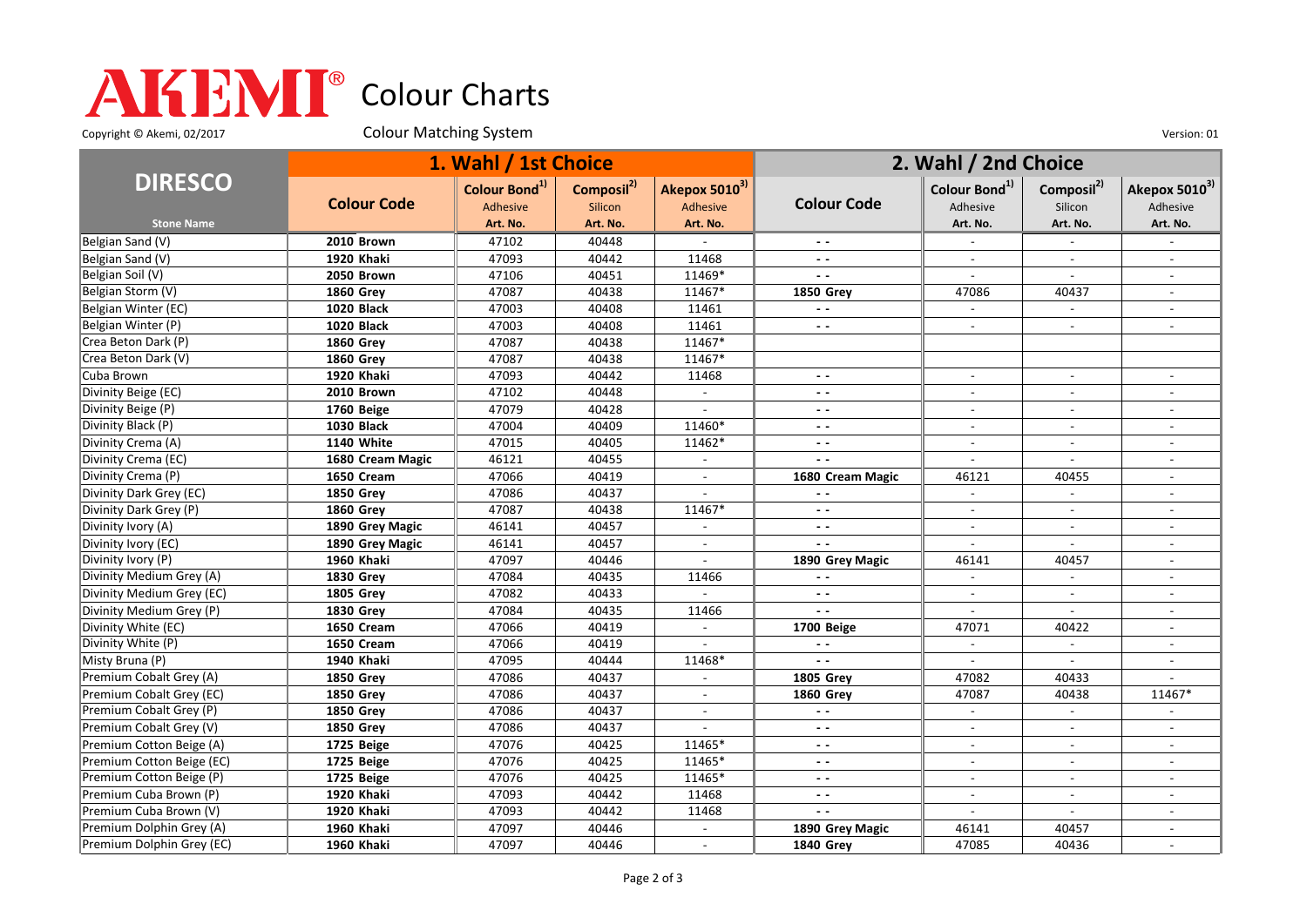## Colour Charts

Copyright © Akemi, 02/2017 Colour Matching System Colour Matching Constant Constant Out of the Version: 01

|                           | 1. Wahl / 1st Choice |                           |                        |                             | 2. Wahl / 2nd Choice     |                           |                          |                           |
|---------------------------|----------------------|---------------------------|------------------------|-----------------------------|--------------------------|---------------------------|--------------------------|---------------------------|
| <b>DIRESCO</b>            | <b>Colour Code</b>   | Colour Bond <sup>1)</sup> | Composil <sup>2)</sup> | Akepox 5010 <sup>3)</sup>   | <b>Colour Code</b>       | Colour Bond <sup>1)</sup> | Composil <sup>2)</sup>   | Akepox 5010 <sup>3)</sup> |
| <b>Stone Name</b>         |                      | Adhesive<br>Art. No.      | Silicon<br>Art. No.    | <b>Adhesive</b><br>Art. No. |                          | Adhesive<br>Art. No.      | Silicon<br>Art. No.      | Adhesive<br>Art. No.      |
| Belgian Sand (V)          | 2010 Brown           | 47102                     | 40448                  |                             | - -                      |                           |                          |                           |
| Belgian Sand (V)          | 1920 Khaki           | 47093                     | 40442                  | 11468                       | $ -$                     |                           |                          |                           |
| Belgian Soil (V)          | 2050 Brown           | 47106                     | 40451                  | 11469*                      | $\overline{\phantom{a}}$ | $\sim$                    | $\overline{\phantom{a}}$ |                           |
| Belgian Storm (V)         | <b>1860 Grev</b>     | 47087                     | 40438                  | 11467*                      | <b>1850 Grev</b>         | 47086                     | 40437                    |                           |
| Belgian Winter (EC)       | <b>1020 Black</b>    | 47003                     | 40408                  | 11461                       | $ -$                     | $\sim$                    | $\sim$                   | $\overline{\phantom{a}}$  |
| Belgian Winter (P)        | <b>1020 Black</b>    | 47003                     | 40408                  | 11461                       | $\overline{\phantom{a}}$ |                           |                          |                           |
| Crea Beton Dark (P)       | <b>1860 Grey</b>     | 47087                     | 40438                  | 11467*                      |                          |                           |                          |                           |
| Crea Beton Dark (V)       | <b>1860 Grey</b>     | 47087                     | 40438                  | 11467*                      |                          |                           |                          |                           |
| Cuba Brown                | 1920 Khaki           | 47093                     | 40442                  | 11468                       | $\sim$ $\sim$            | $\overline{a}$            | $\overline{a}$           |                           |
| Divinity Beige (EC)       | 2010 Brown           | 47102                     | 40448                  | $\sim$                      | $ -$                     | $\sim$                    |                          |                           |
| Divinity Beige (P)        | 1760 Beige           | 47079                     | 40428                  |                             | $ -$                     |                           |                          |                           |
| Divinity Black (P)        | <b>1030 Black</b>    | 47004                     | 40409                  | 11460*                      | $ -$                     | $\overline{\phantom{a}}$  | $\sim$                   | $\overline{a}$            |
| Divinity Crema (A)        | 1140 White           | 47015                     | 40405                  | 11462*                      | $\overline{\phantom{a}}$ |                           |                          |                           |
| Divinity Crema (EC)       | 1680 Cream Magic     | 46121                     | 40455                  | $\sim$                      | $\overline{\phantom{a}}$ | $\overline{a}$            | $\overline{a}$           | $\overline{\phantom{a}}$  |
| Divinity Crema (P)        | 1650 Cream           | 47066                     | 40419                  |                             | 1680 Cream Magic         | 46121                     | 40455                    |                           |
| Divinity Dark Grey (EC)   | <b>1850 Grev</b>     | 47086                     | 40437                  |                             |                          |                           |                          |                           |
| Divinity Dark Grey (P)    | <b>1860 Grev</b>     | 47087                     | 40438                  | 11467*                      | $ -$                     | $\sim$                    | $\sim$                   |                           |
| Divinity Ivory (A)        | 1890 Grey Magic      | 46141                     | 40457                  |                             | ۰.                       | $\sim$                    |                          |                           |
| Divinity Ivory (EC)       | 1890 Grey Magic      | 46141                     | 40457                  | $\sim$                      | $\overline{\phantom{a}}$ | $\sim$                    | $\overline{\phantom{a}}$ | $\overline{\phantom{a}}$  |
| Divinity Ivory (P)        | 1960 Khaki           | 47097                     | 40446                  |                             | 1890 Grey Magic          | 46141                     | 40457                    |                           |
| Divinity Medium Grey (A)  | <b>1830 Grev</b>     | 47084                     | 40435                  | 11466                       | $\overline{\phantom{a}}$ | $\blacksquare$            | $\mathbf{r}$             | $\sim$                    |
| Divinity Medium Grey (EC) | <b>1805 Grey</b>     | 47082                     | 40433                  |                             | $\sim$ $\sim$            | $\sim$                    | $\sim$                   |                           |
| Divinity Medium Grey (P)  | <b>1830 Grey</b>     | 47084                     | 40435                  | 11466                       |                          |                           |                          |                           |
| Divinity White (EC)       | 1650 Cream           | 47066                     | 40419                  |                             | 1700 Beige               | 47071                     | 40422                    |                           |
| Divinity White (P)        | 1650 Cream           | 47066                     | 40419                  |                             | $\overline{a}$           |                           |                          |                           |
| Misty Bruna (P)           | 1940 Khaki           | 47095                     | 40444                  | 11468*                      | $\overline{\phantom{a}}$ | $\sim$                    | $\sim$                   | $\overline{\phantom{a}}$  |
| Premium Cobalt Grey (A)   | <b>1850 Grey</b>     | 47086                     | 40437                  | $\blacksquare$              | <b>1805 Grey</b>         | 47082                     | 40433                    |                           |
| Premium Cobalt Grey (EC)  | <b>1850 Grev</b>     | 47086                     | 40437                  | $\blacksquare$              | <b>1860 Grey</b>         | 47087                     | 40438                    | 11467*                    |
| Premium Cobalt Grey (P)   | <b>1850 Grey</b>     | 47086                     | 40437                  |                             | $\overline{\phantom{a}}$ |                           |                          |                           |
| Premium Cobalt Grey (V)   | <b>1850 Grey</b>     | 47086                     | 40437                  | $\sim$                      | $ -$                     | $\sim$                    | $\sim$                   |                           |
| Premium Cotton Beige (A)  | 1725 Beige           | 47076                     | 40425                  | 11465*                      | $ -$                     | $\overline{\phantom{a}}$  | $\sim$                   |                           |
| Premium Cotton Beige (EC) | 1725 Beige           | 47076                     | 40425                  | 11465*                      | $ -$                     |                           |                          |                           |
| Premium Cotton Beige (P)  | 1725 Beige           | 47076                     | 40425                  | 11465*                      | $ -$                     | $\sim$                    | $\overline{\phantom{a}}$ | $\overline{\phantom{a}}$  |
| Premium Cuba Brown (P)    | 1920 Khaki           | 47093                     | 40442                  | 11468                       | $ -$                     |                           |                          |                           |
| Premium Cuba Brown (V)    | 1920 Khaki           | 47093                     | 40442                  | 11468                       | $\overline{\phantom{a}}$ | $\sim$                    | $\sim$                   | $\overline{a}$            |
| Premium Dolphin Grey (A)  | 1960 Khaki           | 47097                     | 40446                  | $\overline{\phantom{a}}$    | 1890 Grey Magic          | 46141                     | 40457                    |                           |
| Premium Dolphin Grey (EC) | 1960 Khaki           | 47097                     | 40446                  | $\sim$                      | <b>1840 Grev</b>         | 47085                     | 40436                    |                           |